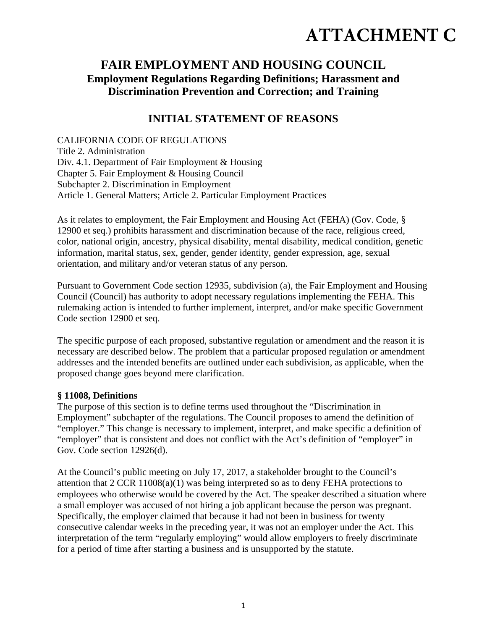# **ATTACHMENT C**

# **FAIR EMPLOYMENT AND HOUSING COUNCIL Employment Regulations Regarding Definitions; Harassment and Discrimination Prevention and Correction; and Training**

## **INITIAL STATEMENT OF REASONS**

CALIFORNIA CODE OF REGULATIONS Title 2. Administration Div. 4.1. Department of Fair Employment & Housing Chapter 5. Fair Employment & Housing Council Subchapter 2. Discrimination in Employment Article 1. General Matters; Article 2. Particular Employment Practices

As it relates to employment, the Fair Employment and Housing Act (FEHA) (Gov. Code, § 12900 et seq.) prohibits harassment and discrimination because of the race, religious creed, color, national origin, ancestry, physical disability, mental disability, medical condition, genetic information, marital status, sex, gender, gender identity, gender expression, age, sexual orientation, and military and/or veteran status of any person.

Pursuant to Government Code section 12935, subdivision (a), the Fair Employment and Housing Council (Council) has authority to adopt necessary regulations implementing the FEHA. This rulemaking action is intended to further implement, interpret, and/or make specific Government Code section 12900 et seq.

The specific purpose of each proposed, substantive regulation or amendment and the reason it is necessary are described below. The problem that a particular proposed regulation or amendment addresses and the intended benefits are outlined under each subdivision, as applicable, when the proposed change goes beyond mere clarification.

#### **§ 11008, Definitions**

The purpose of this section is to define terms used throughout the "Discrimination in Employment" subchapter of the regulations. The Council proposes to amend the definition of "employer." This change is necessary to implement, interpret, and make specific a definition of "employer" that is consistent and does not conflict with the Act's definition of "employer" in Gov. Code section 12926(d).

At the Council's public meeting on July 17, 2017, a stakeholder brought to the Council's attention that 2 CCR 11008(a)(1) was being interpreted so as to deny FEHA protections to employees who otherwise would be covered by the Act. The speaker described a situation where a small employer was accused of not hiring a job applicant because the person was pregnant. Specifically, the employer claimed that because it had not been in business for twenty consecutive calendar weeks in the preceding year, it was not an employer under the Act. This interpretation of the term "regularly employing" would allow employers to freely discriminate for a period of time after starting a business and is unsupported by the statute.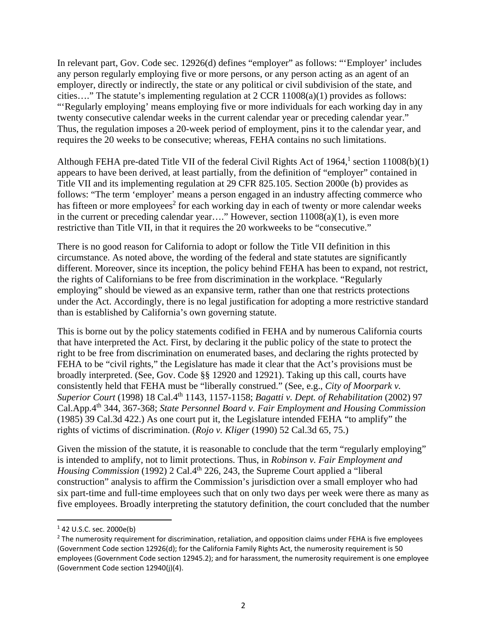In relevant part, Gov. Code sec. 12926(d) defines "employer" as follows: "'Employer' includes any person regularly employing five or more persons, or any person acting as an agent of an employer, directly or indirectly, the state or any political or civil subdivision of the state, and cities…." The statute's implementing regulation at 2 CCR 11008(a)(1) provides as follows: "'Regularly employing' means employing five or more individuals for each working day in any twenty consecutive calendar weeks in the current calendar year or preceding calendar year." Thus, the regulation imposes a 20-week period of employment, pins it to the calendar year, and requires the 20 weeks to be consecutive; whereas, FEHA contains no such limitations.

Although FEHA pre-dated Title VII of the federal Civil Rights Act of 1964,<sup>1</sup> section  $11008(b)(1)$ appears to have been derived, at least partially, from the definition of "employer" contained in Title VII and its implementing regulation at 29 CFR 825.105. Section 2000e (b) provides as follows: "The term 'employer' means a person engaged in an industry affecting commerce who has fifteen or more employees<sup>2</sup> for each working day in each of twenty or more calendar weeks in the current or preceding calendar year...." However, section  $11008(a)(1)$ , is even more restrictive than Title VII, in that it requires the 20 workweeks to be "consecutive."

There is no good reason for California to adopt or follow the Title VII definition in this circumstance. As noted above, the wording of the federal and state statutes are significantly different. Moreover, since its inception, the policy behind FEHA has been to expand, not restrict, the rights of Californians to be free from discrimination in the workplace. "Regularly employing" should be viewed as an expansive term, rather than one that restricts protections under the Act. Accordingly, there is no legal justification for adopting a more restrictive standard than is established by California's own governing statute.

This is borne out by the policy statements codified in FEHA and by numerous California courts that have interpreted the Act. First, by declaring it the public policy of the state to protect the right to be free from discrimination on enumerated bases, and declaring the rights protected by FEHA to be "civil rights," the Legislature has made it clear that the Act's provisions must be broadly interpreted. (See, Gov. Code §§ 12920 and 12921). Taking up this call, courts have consistently held that FEHA must be "liberally construed." (See, e.g., *City of Moorpark v. Superior Court* (1998) 18 Cal.4th 1143, 1157-1158; *Bagatti v. Dept. of Rehabilitation* (2002) 97 Cal.App.4th 344, 367-368; *State Personnel Board v. Fair Employment and Housing Commission*  (1985) 39 Cal.3d 422.) As one court put it, the Legislature intended FEHA "to amplify" the rights of victims of discrimination. (*Rojo v. Kliger* (1990) 52 Cal.3d 65, 75.)

Given the mission of the statute, it is reasonable to conclude that the term "regularly employing" is intended to amplify, not to limit protections. Thus, in *Robinson v. Fair Employment and Housing Commission* (1992) 2 Cal.4<sup>th</sup> 226, 243, the Supreme Court applied a "liberal construction" analysis to affirm the Commission's jurisdiction over a small employer who had six part-time and full-time employees such that on only two days per week were there as many as five employees. Broadly interpreting the statutory definition, the court concluded that the number

 $142$  U.S.C. sec. 2000e(b)

<sup>&</sup>lt;sup>2</sup> The numerosity requirement for discrimination, retaliation, and opposition claims under FEHA is five employees (Government Code section 12926(d); for the California Family Rights Act, the numerosity requirement is 50 employees (Government Code section 12945.2); and for harassment, the numerosity requirement is one employee (Government Code section 12940(j)(4).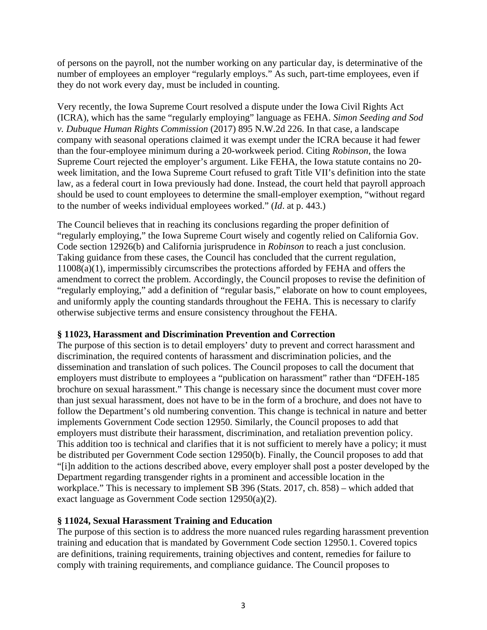of persons on the payroll, not the number working on any particular day, is determinative of the number of employees an employer "regularly employs." As such, part-time employees, even if they do not work every day, must be included in counting.

Very recently, the Iowa Supreme Court resolved a dispute under the Iowa Civil Rights Act (ICRA), which has the same "regularly employing" language as FEHA. *Simon Seeding and Sod v. Dubuque Human Rights Commission* (2017) 895 N.W.2d 226. In that case, a landscape company with seasonal operations claimed it was exempt under the ICRA because it had fewer than the four-employee minimum during a 20-workweek period. Citing *Robinson*, the Iowa Supreme Court rejected the employer's argument. Like FEHA, the Iowa statute contains no 20 week limitation, and the Iowa Supreme Court refused to graft Title VII's definition into the state law, as a federal court in Iowa previously had done. Instead, the court held that payroll approach should be used to count employees to determine the small-employer exemption, "without regard to the number of weeks individual employees worked." (*Id*. at p. 443.)

The Council believes that in reaching its conclusions regarding the proper definition of "regularly employing," the Iowa Supreme Court wisely and cogently relied on California Gov. Code section 12926(b) and California jurisprudence in *Robinson* to reach a just conclusion. Taking guidance from these cases, the Council has concluded that the current regulation, 11008(a)(1), impermissibly circumscribes the protections afforded by FEHA and offers the amendment to correct the problem. Accordingly, the Council proposes to revise the definition of "regularly employing," add a definition of "regular basis," elaborate on how to count employees, and uniformly apply the counting standards throughout the FEHA. This is necessary to clarify otherwise subjective terms and ensure consistency throughout the FEHA.

#### **§ 11023, Harassment and Discrimination Prevention and Correction**

The purpose of this section is to detail employers' duty to prevent and correct harassment and discrimination, the required contents of harassment and discrimination policies, and the dissemination and translation of such polices. The Council proposes to call the document that employers must distribute to employees a "publication on harassment" rather than "DFEH-185 brochure on sexual harassment." This change is necessary since the document must cover more than just sexual harassment, does not have to be in the form of a brochure, and does not have to follow the Department's old numbering convention. This change is technical in nature and better implements Government Code section 12950. Similarly, the Council proposes to add that employers must distribute their harassment, discrimination, and retaliation prevention policy. This addition too is technical and clarifies that it is not sufficient to merely have a policy; it must be distributed per Government Code section 12950(b). Finally, the Council proposes to add that "[i]n addition to the actions described above, every employer shall post a poster developed by the Department regarding transgender rights in a prominent and accessible location in the workplace." This is necessary to implement SB 396 (Stats. 2017, ch. 858) – which added that exact language as Government Code section 12950(a)(2).

#### **§ 11024, Sexual Harassment Training and Education**

The purpose of this section is to address the more nuanced rules regarding harassment prevention training and education that is mandated by Government Code section 12950.1. Covered topics are definitions, training requirements, training objectives and content, remedies for failure to comply with training requirements, and compliance guidance. The Council proposes to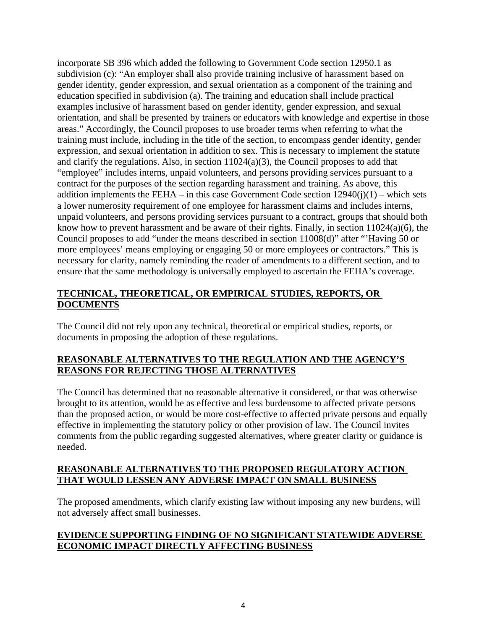incorporate SB 396 which added the following to Government Code section 12950.1 as subdivision (c): "An employer shall also provide training inclusive of harassment based on gender identity, gender expression, and sexual orientation as a component of the training and education specified in subdivision (a). The training and education shall include practical examples inclusive of harassment based on gender identity, gender expression, and sexual orientation, and shall be presented by trainers or educators with knowledge and expertise in those areas." Accordingly, the Council proposes to use broader terms when referring to what the training must include, including in the title of the section, to encompass gender identity, gender expression, and sexual orientation in addition to sex. This is necessary to implement the statute and clarify the regulations. Also, in section 11024(a)(3), the Council proposes to add that "employee" includes interns, unpaid volunteers, and persons providing services pursuant to a contract for the purposes of the section regarding harassment and training. As above, this addition implements the FEHA – in this case Government Code section  $12940(i)(1)$  – which sets a lower numerosity requirement of one employee for harassment claims and includes interns, unpaid volunteers, and persons providing services pursuant to a contract, groups that should both know how to prevent harassment and be aware of their rights. Finally, in section 11024(a)(6), the Council proposes to add "under the means described in section 11008(d)" after "'Having 50 or more employees' means employing or engaging 50 or more employees or contractors." This is necessary for clarity, namely reminding the reader of amendments to a different section, and to ensure that the same methodology is universally employed to ascertain the FEHA's coverage.

### **TECHNICAL, THEORETICAL, OR EMPIRICAL STUDIES, REPORTS, OR DOCUMENTS**

The Council did not rely upon any technical, theoretical or empirical studies, reports, or documents in proposing the adoption of these regulations.

### **REASONABLE ALTERNATIVES TO THE REGULATION AND THE AGENCY'S REASONS FOR REJECTING THOSE ALTERNATIVES**

The Council has determined that no reasonable alternative it considered, or that was otherwise brought to its attention, would be as effective and less burdensome to affected private persons than the proposed action, or would be more cost-effective to affected private persons and equally effective in implementing the statutory policy or other provision of law. The Council invites comments from the public regarding suggested alternatives, where greater clarity or guidance is needed.

#### **REASONABLE ALTERNATIVES TO THE PROPOSED REGULATORY ACTION THAT WOULD LESSEN ANY ADVERSE IMPACT ON SMALL BUSINESS**

The proposed amendments, which clarify existing law without imposing any new burdens, will not adversely affect small businesses.

#### **EVIDENCE SUPPORTING FINDING OF NO SIGNIFICANT STATEWIDE ADVERSE ECONOMIC IMPACT DIRECTLY AFFECTING BUSINESS**